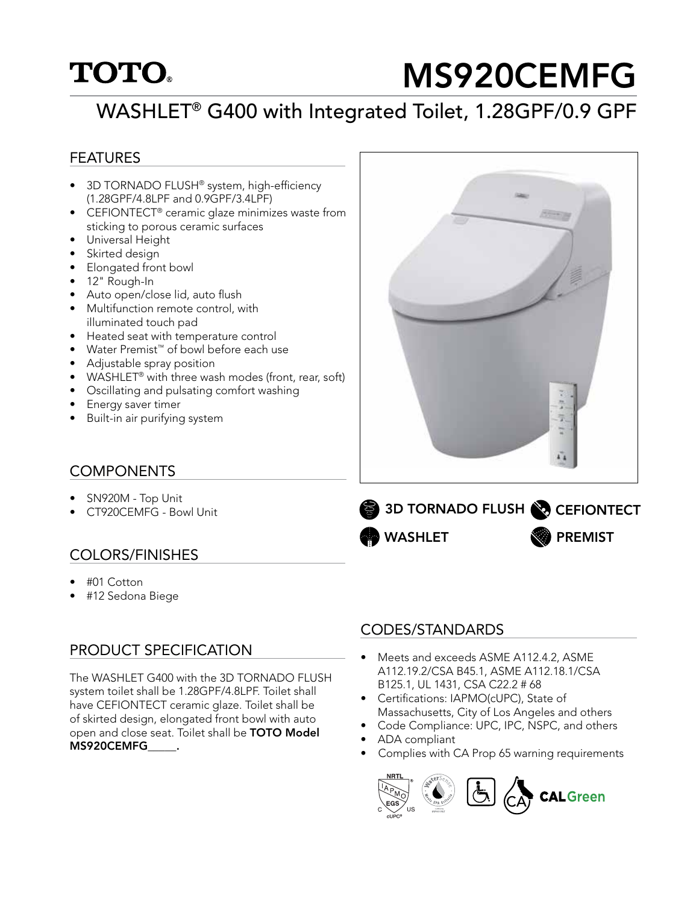## **TOTO**

# MS920CEMFG

## WASHLET® G400 with Integrated Toilet, 1.28GPF/0.9 GPF

#### FEATURES

- 3D TORNADO FLUSH® system, high-efficiency (1.28GPF/4.8LPF and 0.9GPF/3.4LPF)
- CEFIONTECT<sup>®</sup> ceramic glaze minimizes waste from sticking to porous ceramic surfaces
- Universal Height
- Skirted design
- Elongated front bowl
- 12" Rough-In
- Auto open/close lid, auto flush
- Multifunction remote control, with illuminated touch pad
- Heated seat with temperature control
- Water Premist™ of bowl before each use
- Adjustable spray position
- WASHLET<sup>®</sup> with three wash modes (front, rear, soft)
- Oscillating and pulsating comfort washing
- Energy saver timer
- Built-in air purifying system

#### **COMPONENTS**

- SN920M Top Unit
- CT920CEMFG Bowl Unit

#### COLORS/FINISHES

- #01 Cotton
- #12 Sedona Biege

#### PRODUCT SPECIFICATION

The WASHLET G400 with the 3D TORNADO FLUSH system toilet shall be 1.28GPF/4.8LPF. Toilet shall have CEFIONTECT ceramic glaze. Toilet shall be of skirted design, elongated front bowl with auto open and close seat. Toilet shall be TOTO Model MS920CEMFG\_\_\_\_\_.

#### CODES/STANDARDS

WASHLET

3D TORNADO FLUSH

- Meets and exceeds ASME A112.4.2, ASME A112.19.2/CSA B45.1, ASME A112.18.1/CSA B125.1, UL 1431, CSA C22.2 # 68
- Certifications: IAPMO(cUPC), State of Massachusetts, City of Los Angeles and others
- Code Compliance: UPC, IPC, NSPC, and others
- ADA compliant
- Complies with CA Prop 65 warning requirements





**CEFIONTECT** 

PREMIST